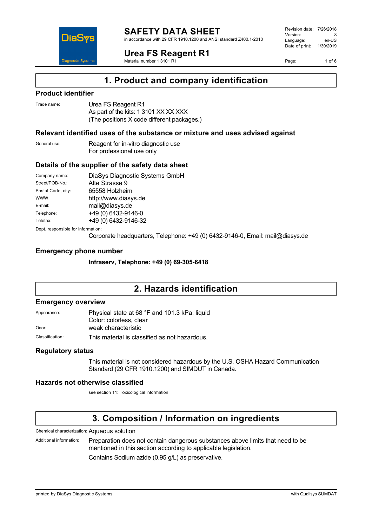

in accordance with 29 CFR 1910.1200 and ANSI standard Z400.1-2010

**Urea FS Reagent R1**

Material number 1 3101 R1

Revision date: 7/26/2018 Version: 8<br>Language: en-LIS Language: Date of print: 1/30/2019

Page: 1 of 6



# **1. Product and company identification**

### **Product identifier**

DiaS

| Trade name: | Urea FS Reagent R1                         |
|-------------|--------------------------------------------|
|             | As part of the kits: 1 3101 XX XX XXX      |
|             | (The positions X code different packages.) |

### **Relevant identified uses of the substance or mixture and uses advised against**

| General use: | Reagent for in-vitro diagnostic use |  |
|--------------|-------------------------------------|--|
|              | For professional use only           |  |

### **Details of the supplier of the safety data sheet**

| Company name:                      | DiaSys Diagnostic Systems GmbH |  |
|------------------------------------|--------------------------------|--|
| Street/POB-No.:                    | Alte Strasse 9                 |  |
| Postal Code, city:                 | 65558 Holzheim                 |  |
| WWW:                               | http://www.diasys.de           |  |
| E-mail:                            | mail@diasys.de                 |  |
| Telephone:                         | +49 (0) 6432-9146-0            |  |
| Telefax:                           | +49 (0) 6432-9146-32           |  |
| Dept. responsible for information: |                                |  |

Corporate headquarters, Telephone: +49 (0) 6432-9146-0, Email: mail@diasys.de

### **Emergency phone number**

**Infraserv, Telephone: +49 (0) 69-305-6418**

# **2. Hazards identification**

### **Emergency overview**

| Appearance:     | Physical state at 68 °F and 101.3 kPa: liquid |  |
|-----------------|-----------------------------------------------|--|
|                 | Color: colorless, clear                       |  |
| Odor:           | weak characteristic                           |  |
| Classification: | This material is classified as not hazardous. |  |

### **Regulatory status**

This material is not considered hazardous by the U.S. OSHA Hazard Communication Standard (29 CFR 1910.1200) and SIMDUT in Canada.

### **Hazards not otherwise classified**

see section 11: Toxicological information

# **3. Composition / Information on ingredients**

Chemical characterization: Aqueous solution

Additional information: Preparation does not contain dangerous substances above limits that need to be mentioned in this section according to applicable legislation.

Contains Sodium azide (0.95 g/L) as preservative.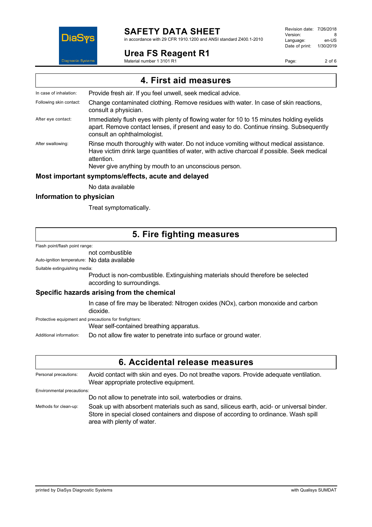

in accordance with 29 CFR 1910.1200 and ANSI standard Z400.1-2010

### **Urea FS Reagent R1**

Material number 1 3101 R1

Revision date: 7/26/2018 Version: 8<br>Language: en-LIS Language: en-US<br>Date of print: 1/30/2019 Date of print:

Page: 2 of 6

**4. First aid measures** In case of inhalation: Provide fresh air. If you feel unwell, seek medical advice. Following skin contact: Change contaminated clothing. Remove residues with water. In case of skin reactions, consult a physician. After eye contact: Immediately flush eyes with plenty of flowing water for 10 to 15 minutes holding eyelids apart. Remove contact lenses, if present and easy to do. Continue rinsing. Subsequently consult an ophthalmologist. After swallowing: Rinse mouth thoroughly with water. Do not induce vomiting without medical assistance. Have victim drink large quantities of water, with active charcoal if possible. Seek medical attention. Never give anything by mouth to an unconscious person. **Most important symptoms/effects, acute and delayed** No data available

### **Information to physician**

Treat symptomatically.

# **5. Fire fighting measures**

Flash point/flash point range:

not combustible

Auto-ignition temperature: No data available

Suitable extinguishing media:

Product is non-combustible. Extinguishing materials should therefore be selected according to surroundings.

### **Specific hazards arising from the chemical**

In case of fire may be liberated: Nitrogen oxides (NOx), carbon monoxide and carbon dioxide.

Protective equipment and precautions for firefighters:

Wear self-contained breathing apparatus.

Additional information: Do not allow fire water to penetrate into surface or ground water.

## **6. Accidental release measures**

Personal precautions: Avoid contact with skin and eyes. Do not breathe vapors. Provide adequate ventilation. Wear appropriate protective equipment. Environmental precautions: Do not allow to penetrate into soil, waterbodies or drains.

Methods for clean-up: Soak up with absorbent materials such as sand, siliceus earth, acid- or universal binder. Store in special closed containers and dispose of according to ordinance. Wash spill area with plenty of water.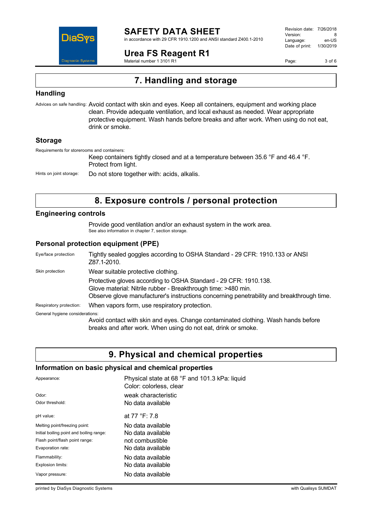

in accordance with 29 CFR 1910.1200 and ANSI standard Z400.1-2010

**Urea FS Reagent R1**

Material number 1 3101 R1

Revision date: 7/26/2018 Version: 8<br>Language: en-US Language: Date of print: 1/30/2019

Page: 3 of 6

# **7. Handling and storage**

### **Handling**

Advices on safe handling: Avoid contact with skin and eyes. Keep all containers, equipment and working place clean. Provide adequate ventilation, and local exhaust as needed. Wear appropriate protective equipment. Wash hands before breaks and after work. When using do not eat, drink or smoke.

### **Storage**

Requirements for storerooms and containers:

Keep containers tightly closed and at a temperature between 35.6 °F and 46.4 °F. Protect from light.

Hints on joint storage: Do not store together with: acids, alkalis.

# **8. Exposure controls / personal protection**

### **Engineering controls**

Provide good ventilation and/or an exhaust system in the work area. See also information in chapter 7, section storage.

### **Personal protection equipment (PPE)**

| Eye/face protection             | Tightly sealed goggles according to OSHA Standard - 29 CFR: 1910.133 or ANSI<br>Z87.1-2010.                                                                                                                                    |
|---------------------------------|--------------------------------------------------------------------------------------------------------------------------------------------------------------------------------------------------------------------------------|
| Skin protection                 | Wear suitable protective clothing.                                                                                                                                                                                             |
|                                 | Protective gloves according to OSHA Standard - 29 CFR: 1910.138.<br>Glove material: Nitrile rubber - Breakthrough time: >480 min.<br>Observe glove manufacturer's instructions concerning penetrability and breakthrough time. |
| Respiratory protection:         | When vapors form, use respiratory protection.                                                                                                                                                                                  |
| General hygiene considerations: |                                                                                                                                                                                                                                |
|                                 | Avoid contact with skin and eyes. Change contaminated clothing. Wash hands before<br>breaks and after work. When using do not eat, drink or smoke.                                                                             |

# **9. Physical and chemical properties**

### **Information on basic physical and chemical properties**

| Appearance:                              | Physical state at 68 °F and 101.3 kPa: liquid<br>Color: colorless, clear |
|------------------------------------------|--------------------------------------------------------------------------|
| Odor:                                    | weak characteristic                                                      |
| Odor threshold:                          | No data available                                                        |
| pH value:                                | at 77 °F: 7.8                                                            |
| Melting point/freezing point:            | No data available                                                        |
| Initial boiling point and boiling range: | No data available                                                        |
| Flash point/flash point range:           | not combustible                                                          |
| Evaporation rate:                        | No data available                                                        |
| Flammability:                            | No data available                                                        |
| Explosion limits:                        | No data available                                                        |
| Vapor pressure:                          | No data available                                                        |
|                                          |                                                                          |

printed by DiaSys Diagnostic Systems with Qualisys SUMDAT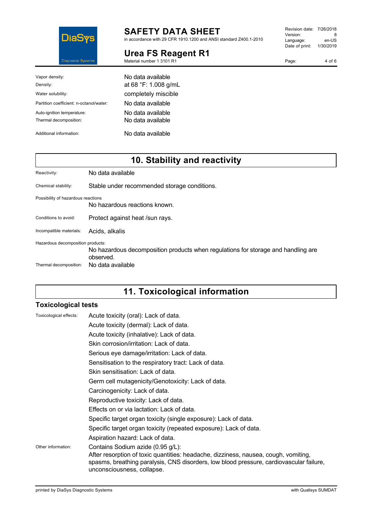

in accordance with 29 CFR 1910.1200 and ANSI standard Z400.1-2010

# **Urea FS Reagent R1**

Material number 1 3101 R1

| Vapor density:<br>Density:                           | No data available<br>at 68 °F: 1.008 g/mL |
|------------------------------------------------------|-------------------------------------------|
| Water solubility:                                    | completely miscible                       |
| Partition coefficient: n-octanol/water:              | No data available                         |
| Auto-ignition temperature:<br>Thermal decomposition: | No data available<br>No data available    |
| Additional information:                              | No data available                         |

# **10. Stability and reactivity**

| Reactivity:                                                 | No data available                                                                                                   |
|-------------------------------------------------------------|---------------------------------------------------------------------------------------------------------------------|
| Chemical stability:                                         | Stable under recommended storage conditions.                                                                        |
| Possibility of hazardous reactions                          | No hazardous reactions known.                                                                                       |
| Conditions to avoid:                                        | Protect against heat /sun rays.                                                                                     |
| Incompatible materials:                                     | Acids, alkalis                                                                                                      |
| Hazardous decomposition products:<br>Thermal decomposition: | No hazardous decomposition products when regulations for storage and handling are<br>observed.<br>No data available |

# **11. Toxicological information**

### **Toxicological tests**

| Toxicological effects: | Acute toxicity (oral): Lack of data.                                                                                                                                                                                                              |
|------------------------|---------------------------------------------------------------------------------------------------------------------------------------------------------------------------------------------------------------------------------------------------|
|                        | Acute toxicity (dermal): Lack of data.                                                                                                                                                                                                            |
|                        | Acute toxicity (inhalative): Lack of data.                                                                                                                                                                                                        |
|                        | Skin corrosion/irritation: Lack of data.                                                                                                                                                                                                          |
|                        | Serious eye damage/irritation: Lack of data.                                                                                                                                                                                                      |
|                        | Sensitisation to the respiratory tract: Lack of data.                                                                                                                                                                                             |
|                        | Skin sensitisation: Lack of data.                                                                                                                                                                                                                 |
|                        | Germ cell mutagenicity/Genotoxicity: Lack of data.                                                                                                                                                                                                |
|                        | Carcinogenicity: Lack of data.                                                                                                                                                                                                                    |
|                        | Reproductive toxicity: Lack of data.                                                                                                                                                                                                              |
|                        | Effects on or via lactation: Lack of data.                                                                                                                                                                                                        |
|                        | Specific target organ toxicity (single exposure): Lack of data.                                                                                                                                                                                   |
|                        | Specific target organ toxicity (repeated exposure): Lack of data.                                                                                                                                                                                 |
|                        | Aspiration hazard: Lack of data.                                                                                                                                                                                                                  |
| Other information:     | Contains Sodium azide (0.95 g/L):<br>After resorption of toxic quantities: headache, dizziness, nausea, cough, vomiting,<br>spasms, breathing paralysis, CNS disorders, low blood pressure, cardiovascular failure,<br>unconsciousness, collapse. |

Page: 4 of 6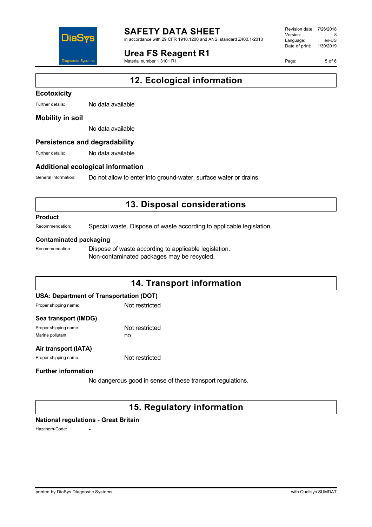

in accordance with 29 CFR 1910.1200 and ANSI standard Z400.1-2010

# **Urea FS Reagent R1**

Material number 1 3101 R1

Revision date: 7/26/2018 Version: 8<br>Language: en-LIS Language: Date of print: 1/30/2019

Page: 5 of 6

# **12. Ecological information**

#### **Ecotoxicity**

Further details: No data available

### **Mobility in soil**

No data available

### **Persistence and degradability**

Further details: No data available

### **Additional ecological information**

General information: Do not allow to enter into ground-water, surface water or drains.

# **13. Disposal considerations**

### **Product**

Recommendation: Special waste. Dispose of waste according to applicable legislation.

#### **Contaminated packaging**

Recommendation: Dispose of waste according to applicable legislation. Non-contaminated packages may be recycled.

# **14. Transport information**

### **USA: Department of Transportation (DOT)**

| Proper shipping name: |  |
|-----------------------|--|
|-----------------------|--|

Not restricted

### **Sea transport (IMDG)**

Proper shipping name: Not restricted Marine pollutant: now no

### **Air transport (IATA)**

Proper shipping name: Not restricted

### **Further information**

No dangerous good in sense of these transport regulations.

# **15. Regulatory information**

### **National regulations - Great Britain**

Hazchem-Code: